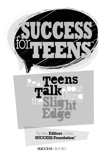

# eens

By the *Editors* of the SUCCESS Foundation<sup>™</sup>

**SUCCESS | BOOKS**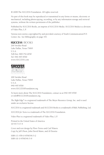© 2008 The SUCCESS Foundation. All rights reserved.

No part of this book may be reproduced or transmitted in any forms or means, electronic or mechanical, including photocopying, recording, or by any information storage and retrieval systems, without the written permission of the publisher.

Published by SUCCESS Books, an imprint of SUCCESS Media. SUCCESS Media is a division of Video Plus, L.P.

Various teen stories copyrighted by and provided courtesy of Youth Communication/N.Y. Center, Inc. See bibliography on page 143.

#### **SUCCESS | BOOKS**

200 Swisher Road Lake Dallas, Texas 75065 U.S.A. Toll-free: 800-752-2030 Tel: 940-497-9700 www.SUCCESS.com



200 Swisher Road Lake Dallas, Texas 75065 U.S.A. 940-497-9700 www.SUCCESSFoundation.org

To learn more about The SUCCESS Foundation, contact us at 940-497-9700 or info@SUCCESSFoundation.org.

*The Slight Edge*® is a registered trademark of The Meyer Resource Group, Inc. and is used under an exclusive license.

SUCCESS is a registered trademark and SUCCESS Books is a trademark of R&L Publishing, Ltd.

*SUCCESS for Teens* is a trademark of The SUCCESS Foundation.

Video Plus is a registered trademark of Video Plus, L.P.

Printed in the United States of America. 10 9 8 7 6 5 4

Cover and text design by Floro Torres and Carl Waters Copy by Jeff Olson, John David Mann, and Al Desetta

ISBN-13: 978-0-9790341-5-2 ISBN-10: 0-9790341-5-9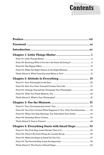# **Contents**

| Point #4: Make the Right Choice at the Right Moment  12                 |  |
|-------------------------------------------------------------------------|--|
|                                                                         |  |
| Chapter 2: Attitude Is Everything  19                                   |  |
|                                                                         |  |
|                                                                         |  |
| Point #3: Change Yourself by Changing Your Philosophy 22                |  |
|                                                                         |  |
|                                                                         |  |
|                                                                         |  |
|                                                                         |  |
| Point #2: You Can't Control What Happens to You, Only Your Reactions 39 |  |
| Point #3: When You Stop Blaming, You Take Back Your Power  43           |  |
|                                                                         |  |
|                                                                         |  |
| <b>Chapter 4: Everything Starts with Small Steps  53</b>                |  |
|                                                                         |  |
|                                                                         |  |
|                                                                         |  |
|                                                                         |  |
|                                                                         |  |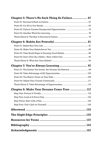| Chapter 5: There's No Such Thing As Failure 67                   |  |
|------------------------------------------------------------------|--|
|                                                                  |  |
| Point #2: It's All in Our Heads ………………………………………………………………………………69 |  |
|                                                                  |  |
|                                                                  |  |
|                                                                  |  |
|                                                                  |  |
|                                                                  |  |
|                                                                  |  |
|                                                                  |  |
|                                                                  |  |
|                                                                  |  |
|                                                                  |  |
|                                                                  |  |
|                                                                  |  |
|                                                                  |  |
|                                                                  |  |
|                                                                  |  |
| Chapter 8: Make Your Dreams Come True  117                       |  |
|                                                                  |  |
|                                                                  |  |
|                                                                  |  |
|                                                                  |  |
|                                                                  |  |
|                                                                  |  |
|                                                                  |  |
|                                                                  |  |
|                                                                  |  |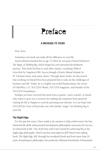# <span id="page-4-0"></span>Preface

## **A Message to Teens**

Dear Teen,

Sometimes one book can make all the difference in your life. Stuart Johnson learned this at age 15 when he was given David Schwartz's *The Magic of Thinking Big,* which began his own personal-development journey. That book led him to read other classics, including *Think & Grow Rich* by Napoleon Hill, *Success through a Positive Mental Attitude* by W. Clement Stone, and many others. Through these books, he discovered that working on himself first best prepared him to take on the challenges of business and life. Today, he is a highly successful businessman, the owner of VideoPlus, L.P., SUCCESS Media, *SUCCESS* magazine, and founder of the SUCCESS Foundation.

Perhaps you have received this book from a parent, coach, teacher, or friend who wants to give you a resource for making the transition from passively waiting for life to happen to actively pursuing your dreams. It is our hope that *SUCCESS for Teens* will provide you with similar "magic" for thinking big in your life.

### **The Slight Edge**

For the past few years, I have made it my mission to help youth receive the fundamental life-skills and personal-development philosophies necessary for success in school and in life. One of the best tools I have found for achieving this is the slight edge philosophy, which was first articulated in Jeff Olson's best-selling book, *The Slight Edge.* Jeff, through his wonderful book and from more than 20 years of teaching its philosophy, has positively influenced hundreds of thousands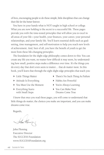of lives, encouraging people to do those simple, little disciplines that can change their life for the better forever.

You have in your hands what is NOT taught in high school or college. What you are now holding is the secret to a successful life. These pages provide you with the time-tested principles that will allow you to excel in all areas of your life—your health, your finances, your career, your personal relationships, and your family life. You'll learn essential skills such as goalsetting, time management, and self-motivation to help you reach new levels of achievement. And, best of all, you have the benefit of youth to get the most from these life-changing principles.

The foundation for the slight edge philosophy comes down to this: You can create any life you want, no matter how difficult it may seem, by understanding how small, positive steps make a difference over time. It's the things you do every day that don't even seem to matter… that *do* matter most. In this book, you'll learn that through the eight slight edge principles that teach you:

- ▶ Little Things Matter
- ▶ There's No Such Thing As Failure
- Attitude Is Everything
- You Must Use the Moment
- ▶ Everything Starts with Small Steps
- ▶ You're Always Learning
- You Can Make Your Dreams Come True

Habits Are Powerful

I know that once you read these pages, you will come to understand that little things do matter, the choices you make are important, and you can make dreams come true.

Regards,

Jaba Kemiz

John Fleming Executive Director The SUCCESS Foundation www.SUCCESSFoundation.org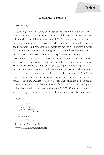# **Preface**

# **A Message to Parents**

#### Dear Parent,

A startling number of young people say they aren't motivated to achieve, don't know how to plan or make decisions, and don't feel a sense of purpose.

That's why Stuart Johnson created the SUCCESS Foundation. He believes that young men and women thrive best when they first understand themselves and then apply that knowledge to the world around them. He wanted a way to illustrate the importance of clarifying goals, practicing the small efforts necessary for success, and accepting responsibility for one's own destiny.

We believe that every teen needs to be directed toward a path that enables them to achieve their goals, pursue careers, and become productive citizens. The tools for enhancing skills such as goal setting, dream-building, selfmotivation, time management, and creating high self-esteem and a sense of purpose are so very important but often not taught in school. The SUCCESS Foundation believes that providing today's youth with personal development resources such as *SUCCESS for Teens* will help them reach their full potential.

I encourage you to share the fundamental life-skills and personal-development philosophies found in these pages and at www.SUCCESSFoundation.org with your teen. Together, we can help make a difference in the lives of our children.

Regards,

Jalen Kemig

John Fleming Executive Director The SUCCESS Foundation www.SUCCESSFoundation.org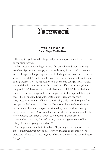# <span id="page-7-0"></span>Foreword

# **FROM THE DAUGHTER: Small Steps Win the Race**

The slight edge has made a huge and positive impact on my life, and it can do the same for you.

When I was a senior in high school, I felt overwhelmed about applying to college. Applications, essays, recommendations, financial aid—there are tons of things I had to get together, and I felt the pressure to do it better than anyone else. I didn't think I would ever get everything done, but I ended up putting together a strong application and getting into colleges that I wanted. How did that happen? Because I disciplined myself in getting everything ready and didn't leave anything for the last minute. I didn't let my feelings of being overwhelmed keep me from accomplishing tasks. I applied the slight edge—I took one small step after another until I reached my goals.

My most vivid memory of how I used the slight edge was during my freshman year at the University of Florida. There were about 8,000 students in the freshman class, and everyone was incredibly smart and had done great things in high school. Once again I felt overwhelmed, up against people who were obviously very bright. I wasn't sure I belonged among them.

I remember asking my dad, Jeff Olson, "How am I going to do well in college? How am I going to stand out?"

And he gave me some fantastic advice: "If you apply the slight edge principles, simply show up at your classes every day, and do the things your professors tell you to do, you're going to beat 50 percent of the people by just doing that."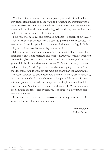What my father meant was that many people just don't put in the effort they let the small things go by the wayside. So starting out freshman year, I went to classes every day and studied every night. It was amazing to me how many students didn't do those small things—instead, they crammed for tests and tried to take shortcuts at the last minute.

I did very well in college and graduated in the top 15 percent of my class. It wasn't because I was smarter than the other 85 percent of my classmates—it was because I was disciplined and did the small things every day, the little things that didn't look like such a big deal at the time.

Life is always a struggle, and you can get in the mindset that skipping the small things and taking shortcuts isn't going to harm you, especially when you get to college, because the professors aren't checking up on you, making sure you read the books, and showing up to class. You're on your own, and you can end up thinking, "If I don't go to class one day, it isn't going to hurt me." But the little things you do every day are more important than you can imagine.

Whether you want to play a new sport, do better in math, lose five pounds, or write your own book, the slight edge philosophy will help you. Success *will* come your way, if you do the things that are simple and small, and do them every day. You don't need to take huge leaps in life. When you tackle problems and challenges step by step, you'll be amazed at how much progress you can make.

Remember the tortoise and the hare—slow and steady wins the race. I wish you the best of luck on your journey.

> **Amber Olson** Dallas, Texas

...............................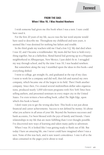# Foreword

# **FROM THE DAD: When I Was 19, I Was Headed Nowhere**

I wish someone had given me this book when I was a teen. I sure could have used it.

For the first 20 years of my life, *success* was the last word anyone would have used to describe me. Throughout my childhood and teen years, it seemed like I was destined for nothing but failure and trouble.

In the third grade my teachers told me I had a low I.Q. My dad died when I was 10, and I became a troublemaker. My mom did her best to hold everything together, but as a fatherless, blond-haired kid growing up in a Hispanic neighborhood in Albuquerque, New Mexico, I just didn't fit in. I struggled my way through school, and by the time I was 19, I was headed nowhere.

But somewhere along the way I stumbled upon the ideas in this book—and everything shifted.

I went to college, got straight A's, and graduated at the top of my class. I went to work for a company and did well, then left and started my own company, which became one of the largest in its field. Then I built another company. Since then, I've created several multimillion-dollar sales organizations, produced nearly 1,000 television programs with *New York Times* bestselling authors, and presented seminars in every major city in the United States. I've even written a best-selling book, called *The Slight Edge,* upon which this book is based.

I don't want you to get the wrong idea here: This book is not just about financial and career achievements. Success is not defined by money. It's about what you achieve in *all* areas of your life. Beyond the business successes and bank accounts, I've been blessed with the joys of family and friends. I have relationships in my life that are more fulfilling than I ever thought possible. I've discovered new ways of learning and taken many paths to adventure.

When I was 19, it looked like I was getting ready to flunk out of life. But today I have an amazing life, one I never could have imagined when I was a teen. None of this was luck, and it sure wasn't coincidence. I owe it all to the ideas contained in the pages you're about to read.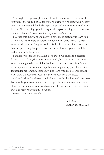"The slight edge philosophy comes down to this: you can create any life you want—*but not all at once, and only by utilizing your philosophy and the secret of time.* To understand that little steps, compounded over time, *do* make a difference. That the things you do every single day—the things that don't look dramatic, that don't even look like they matter—*do* matter."

I learned this in my 20s, but now you have the opportunity to learn in just a few hours the valuable principles that took me years to learn. I've seen it work wonders for my daughter Amber, for her friends, and for other teens. You can put these principles to work no matter how old you are, and the earlier you start, the better.

I am honored that The SUCCESS Foundation, which made it possible for you to be holding this book in your hands, has built its first initiative around the slight edge principles that have changed so many lives. It is a most important endeavor, and I applaud and support my good friend Stuart Johnson for his commitment to providing teens with the personal development tools and resources needed to achieve new levels of success.

As I said before, I wish someone had given me this book when I was a teen. Fortunately, you won't have that same regret, because someone who cares about you has put it in your hands *now.* My deepest wish is that you read it, take it to heart and put it into practice.

Here's to your amazing life!

**Jeff Olson** Author, *The Slight Edge*

...............................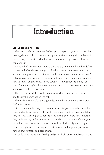# <span id="page-11-0"></span>Introduction

## **Little Things Matter**

This book is about becoming the best possible person you can be. It's about making the most of your talents and opportunities, dealing with problems in positive ways, no matter what life brings, and achieving success—however you define it.

We've talked to teens from around the country to find out how they define success and what they're doing to make their dreams come true. And the answers they gave seem to boil down to the same answer (or set of answers).

Teens have said that success in life is not a question of how smart you are, how talented you are, or how lucky you are. It's not about the family you come from, the neighborhood you grew up in, or the school you go to. It's not about good looks or good luck.

There's only one difference between teens who are on the path to success, and those who aren't yet on the path.

That difference is called the slight edge and it boils down to three words: *Little things matter.*

Or, to put it another way, you can create any life you want—but not all at once, and only by taking small, positive actions every day. These small steps may not look like a big deal, but the teens in this book show how important they really are. By understanding your attitudes and the secret of time, you can achieve success in life, no matter how difficult that might seem right now. The slight edge is having faith that miracles do happen, if you know how to trust yourself and keep trying.

To understand the heart of the slight edge, let's look at an example from nature.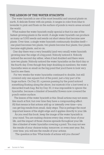## THE LESSON OF THE WATER HYACINTH

The water hyacinth is one of the most beautiful and unusual plants on earth. A delicate flower with six petals, it ranges in color from blue to lavender to pink and floats on the surface of ponds in warm areas around the world.

What makes the water hyacinth really special is that it is one of the fastest-growing plants in the world. A single water hyacinth can produce as many as 5,000 seeds and sends out short stems that become new plants. Over time, a single water hyacinth continuously doubles itself one plant becomes two plants, two plants become four plants, four plants become eight plants, and so on.

One day there was a very beautiful (and very small) water hyacinth growing near the edge of a big pond. Nobody noticed it. Nobody noticed the second day either, when it had doubled and there were now two plants. Nobody noticed the water hyacinths on the third day or the fourth day. Even though they kept doubling in numbers, the water hyacinths were so small on the big pond that you'd have to look very hard to see them.

For two weeks the water hyacinths continued to double, but still covered only one square foot of the pond, just a tiny part of its huge surface. On Day 20, a person passing by the pond noticed something floating along the shore, but mistook it for a lost towel or a discarded trash bag. But by Day 30, it was impossible to ignore the hyacinths, because a blanket of beautiful flowers now covered the pond's entire surface.

The lesson of the water hyacinth is this: Small actions may not seem like much at first, but over time they have a compounding effect. All that means is that actions add up or intensify over time—you can get big results from small, daily steps. This is perhaps the most important lesson of the slight edge and it applies directly to your life.

As you read this book, keep the image of the water hyacinth in your mind. You are making choices every day, every hour of your life, and the impact of those choices spreads throughout your life like a blanket of water hyacinths covering a pond. You may not see the results of your choices today, tomorrow, or even next year. But, over time, you will see the results of your actions.

The question is this: What kinds of actions will you choose?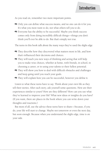As you read on, remember two more important points.

- Only you can define what success means, and no one can do it for you. It's what you most want to do, not what others tell you to do.
- Everyone has the ability to be successful. Maybe you think success comes only from doing incredibly difficult things—things you don't think you'll ever be able to do. But that's simply not true.

The teens in this book talk about the many ways they've used the slight edge:

- They describe how they discovered what matters most in life, and how that's influenced their decisions and choices.
- They will teach you new ways of thinking and acting that will help you to make wise choices, whether at home, with friends, in school, in choosing a career, or in using your talents to their fullest potential.
- They will show you how to deal with difficult obstacles and challenges and keep going until you reach your goals.
- They will explain how you can be successful, however you define it.

Listen to what these teens have to say. Think about your own life as they tell their stories. After each story, ask yourself some questions. How are their experiences similar to yours? How are they different? How can you use what they've learned to improve your life? What new ideas or insights do you have? (If you want, there are places in the book where you can write down your thoughts and reactions.)

But most of all, use the advice these teens have to share—because, if you do, your life will start to change. Maybe not tomorrow or even the next day, but soon enough. Because when you understand the slight edge, time is on your side.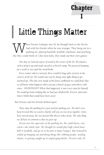# **Chapter 1**

# <span id="page-14-0"></span>Little Things Matter

When Ferentz Lafargue was 16, he thought back to the fun he<br>had with his friends when he was younger. They hung out in<br>parking lot, playing baseball, football, manhunt, and anythin had with his friends when he was younger. They hung out in a parking lot, playing baseball, football, manhunt, and anything else they could think of. Like most kids, they made up their own games.

*One day we noticed a piece of wood in the corner of the lot. We found a rock to prop it up and made ourselves a bicycle ramp. We practiced jumping for a week or two until the wood broke.*

*Every winter when it snowed, there would be huge piles of snow in the corners of the lot. We would start out by doing some light skiing to get warmed up. (The skis were made of the finest cardboard we could find.) But we all know what happens when you put a bunch of guys somewhere with snow... SNOWFIGHT!! When that happened, it was every man for himself. We would go home looking like we had just climbed Mt. Everest, and sometimes I think that would have been easier.*

But Ferentz and his friends drifted apart:

*These days the parking lot is just used for parking cars. We don't even keep in touch like we used to. Rarely will you see two of us together. Some have moved away, the rest just feel like they're miles away. The only thing we all have in common is that we grew up.*

*Devon was the superstar of the parking lot. He could throw, run, catch—the whole nine. We thought he would play high school baseball or football, and go on to become a major leaguer. But instead he ended up hanging out and doing things like robbing people, stealing chains, or getting caught up in stupid gang battles. Devon's only 18*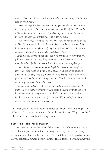*and has been sent to jail two times already. The sad thing is he has no fear of going back.*

*Devon's younger brother John was a pretty good ballplayer, too, but more importantly he was a B+ student and a born leader. Now John is 17 and has a kid, and he's not even close to a high school diploma. He was hardly ever in school last year. The word is that John is dealing guns.* 

*Then there's Angel, who used to be my best friend and in a way he always will be. One summer he lost his glove and, being that he was the only lefty*  in the parking lot, he taught himself to pitch right-handed. He could trick an *opposing batter with a wicked right-handed curve ball.* 

*Angel hasn't dropped out yet, but I doubt he goes to school more than five full days a year. He's dealing drugs. He used to have determination, but these days the only thing he seems determined to do is mess up his life.*

*I looked up to Devon and John and Angel. But I was smart enough to learn from their mistakes. I intend to go to college and study communications and advertising. One day, hopefully, I'll be writing for a big-time news*paper or working for an advertising company. Then I'd like to do whatever I *can to help out some of my old friends.* 

*Devon, John, and Angel still keep an eye out for me. Every time one of them sees an article I've written or hears about me doing anything else good, he's always ready to congratulate me and tell me to keep it up. It's almost like I'm their last hope of success: If I come out OK, then they'll honestly be able to say they had a hand in raising me.*

Perhaps you've known people as talented as Devon, John, and Angel. Any of them could have turned their skills in a better direction. Why didn't they? Because of three words: *Little things matter.* 

## **Point #1: Little Things Matter**

Those three words are the heart of this book. The slight edge is a pretty basic idea and you can sum it up this way: every day, every hour, every moment of your life, you face a choice. You can take a simple, positive action. Or you can take a simple, negative action. The difference between teens who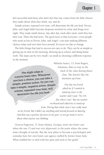feel successful and those who don't feel that way comes from the little choices they make about what they think, say, and do.

Simple actions, repeated over time, will determine the life you lead. Devon, John, and Angel didn't become dropouts involved in crime and drugs overnight. They made small choices, day after day, week after week, until they lost their way. That's the bad news. The good news is that everyone—even people who seem as lost as Devon, John, and Angel—can start making different choices today and turn their lives around. It's never too late to change.

The little things that lead to success are easy to do. They can be as simple as getting up on time in the morning, showing up at school, and doing homework. The steps can be very small—as small as choosing a different response in the moment.

The slight edge is a pretty basic idea. Whenever you face a choice, you can take a simple, positive action. Or you can take a simple, negative action. Simple actions, repeated over time, will determine the life you lead.

Mikaela Suarez, 13, from Rogers, Arkansas, likes to stay in the back of the class during dance class. She doesn't like the attention up front.

*One day my friend asked me if I wanted to stand up closer to the teacher and I said, "No, I'm fine where I am." But my teacher overheard and asked me to stand up* 

*front. During that whole class I was really mad* 

*at my friend. But I didn't say anything and instead focused on dancing. And that was a positive decision on my part, to not get mad or worry about what anyone was thinking.* 

Octavia Fugerson, 17, from Atlanta, Georgia, went into foster care when she was 15 and was very depressed, to the point where she sometimes thought of suicide. But she now plans to become a psychologist and someday have her own foster care agency staffed by former foster kids. What enabled her to deal with her pain and stick to her goals?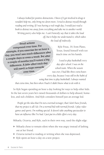I always looked for positive distractions. I knew if I got involved in drugs it *wouldn't help me, only bring me down more. I tried to distract myself through reading and writing. If I was having a real rough day, I would just read a book to distract me away from everything and take me to another world. Writing poetry also helps me. I can't honestly say that it takes the load off, but it helps me understand it, which takes the load off indirectly.*

Small actions compound over time. For example, if you exercise for an hour a day, you won't see much difference after a couple days or even a week. But after a couple of months you'll notice a big difference. A little effort each day will result in huge rewards over time.

Kyle Freas, 19, from Plano, Texas, found himself with too much time on his hands.

*I used to play basketball every day after school. I was on the school team. When the season was over, I had like three extra hours* 

*every day, because I was still in the habit of* 

*using that time to play basketball. I always wanted* 

*that extra time, but then when I had it I didn't know what to do with it.* 

So Kyle began spending an hour a day looking for ways to help other kids. In the last seven years he's raised thousands of dollars to help abused, homeless, and sick children. And Kyle considers himself just an average kid.

People get the idea that I'm not a normal teenager, that I don't have friends, *that my project is all I do. I'm a normal kid with normal friends. I play video games and sports. I'm nothing special. It doesn't take anything spectacular to have an influence like I've had. I just put in a little effort every day.* 

Mikaela, Octavia, and Kyle, each in their own way, used the slight edge:

- Mikaela chose to remain silent when she was angry instead of lashing out at her friend.
- Octavia turned to reading or writing when she was depressed.
- Kyle spent an hour a day on a new project.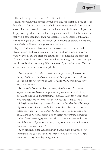# Chapter 1

The little things they did weren't so little after all.

Think about how this applies to your own life. For example, if you exercise for an hour a day, you won't see much difference after a couple days or even a week. But after a couple of months you'll notice a big difference. If you read 10 pages of a good book every day, it might not seem like a lot. But after one year, you'll have read more than two-dozen 150-page books. It's the same with learning to play a new instrument or improving at a sport. A little practice each day will result in huge rewards over time.

Taylor, 18, discovered how small actions compound over time as she played soccer. She has a passion for the sport and has played it since she was 5 years old. But the older she got, the more competitive the sport got. Although Taylor loves soccer, she's never liked running. And soccer is a sport that demands a lot of running. When she was 15, her trainer made Taylor's soccer team practice extra running drills.

*We had practice three times a week, and the first hour of it was conditioning. And then on the days when we didn't have practice our coach told us to go out and run three miles. And we had to be able to run those three miles in 30 minutes.* 

*For the entire first month, I couldn't even finish the three miles. I would stop at two and a half because the pain was so great. It made me sick to my stomach to run that far. It was blazing hot outside, because I'm in South Texas. And there would be days when I wouldn't run because I didn't feel like it.* 

I thought maybe I could get away with not doing it. But when I would show up *at practice the next day, you could tell who ran and who didn't. When I started*  to look like someone who was slacking, I realized that it was bigger than just me. I needed to help the team. I needed to do my part in order to make a difference.

*I had friends encouraging me. They told me, "We want to do well at the end of the season. If you love this sport, then you need to do what it takes to honor your commitment to it."* 

*So on the days I didn't feel like running, I would make myself put on my*  tennis shoes and go outside and do it. Even if I had to start slow, I realized I *was at least trying instead of sitting at home.*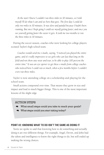*At the start I knew I couldn't run three miles in 30 minutes, so I told myself I'll do what I can and see how that goes. The first day I could do only two miles in 30 minutes. It was slow and painful because I hadn't been running. But once I kept going I could see myself getting faster, and once you see yourself getting faster the easier it gets. It took me two months to run the three miles in 30 minutes.* 

During the soccer season, coaches who were looking for college players scouted Taylor's high school team.

*Coaches would send me e-mails, saying, "I noticed you played the entire game, and it's really impressive to see girls who can last that long on the field and not show any wear and tear, to be able to play 100 percent the entire time." It was an eye opener to get these e-mails from college coaches*  who noticed how I could run so much, when a few months before I couldn't *even run three miles.*

Taylor is now attending college on a scholarship and playing for the school team.

Small actions compound over time. That means they grow in size and impact and lead to much bigger things. This is one of the most important lessons of the slight edge.

#### **ACTION STEPS**

- What small steps could you take to reach your goals?
- $\blacktriangleleft$  What steps could you start taking today?

## **Point #2: Knowing What to Do Isn't the Same As Doing It**

Teens we spoke to said that knowing how to do something and actually doing it are two different things. For example, Angel, Devon, and John had the talent and intelligence to know the right things to do, but still ended up making the wrong choices.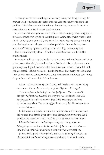# Chapter 1

Knowing how to do something isn't actually doing the thing. Having the answer to a problem isn't the same thing as using the answer to solve the problem. That's because the little things that are important to do are also easy *not* to do, so a lot of people don't do them.

You know this from your own life. What's easier—trying something you're afraid of, or not even trying in the first place? Going along with what others think, or being who you really are, even if it means feeling alone? Avoiding your feelings because they're too hard or painful to face, or facing them square on? Getting up and running in the morning, or sleeping late?

The answer is pretty clear—it's often a *whole lot* easier not to do the simple things.

Some teens told us they didn't do the little, positive things because of what other people thought. Jesselin Rodriguez, 16, faced this problem when she got into junior high. It wasn't cool to be a success in school. If you did well, you got teased. Failure was cool—not in the sense that everyone fails at one time or another and can learn from it, but in the sense that it was cool to not do your best and be stuck in failure forever.

*When I was in elementary school, doing well in school was the only thing that mattered to me. But when I got to junior high that all changed.* 

*The atmosphere in junior high was totally different. When I walked in there for the first time, it seemed like everyone was just chillin'. I saw kids hanging out in the auditorium when they didn't belong there and even screaming at teachers. There was a fight almost every day. No one seemed to care about classes.*

In that school you looked crazy if you were doing any work. The important *thing was to have friends. If you didn't have friends, you were nothing. You'd get picked on, cursed out, and if people fought you it was never one-on-one.* 

*I decided schoolwork wasn't going to be my top priority anymore. I thought my classmates would like me better if I acted more like them* lazy and not caring about anything except going home to watch TV.

*So I made it a point to have friends and started thinking of school as a playground. I could do anything there—cut classes, write on the walls,*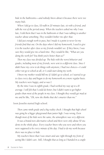*hide in the bathrooms—and nobody knew about it because there were too many kids.*

*When I did go to class, I'd walk in 20 minutes late, sit with a friend, and talk the rest of the period away. When the teachers asked me why I was late, I told them that I was in the bathroom or that I was talking to another teacher about something. They wouldn't bother me after that.*

*I did just enough work to pass, but I made it a point to never let my friends find that out. On the days when I did my homework, I used to give it to the teacher after class so my friends wouldn't see. If they knew, I was sure they would give me a hard time. They would be like, "What are you doing the work for? You think you're better than us?"*

*Then my class was divided up. The kids with the worst behavior and grades, including most of my friends, were sent to a different class. Since I didn't have my crew to do things with anymore, I had two choices—I could either not go to school at all, or I could start doing my work.*

*I knew my mother would kill me if I didn't go to school, so I started to go to class every day and began to do my homework on a more regular basis. My teachers were happy, and so was I.*

*By the time I was in eighth grade, I had worked my way up to a B average. I still felt that I could do better, but I didn't want to get higher grades than most of the people in my class. I thought they would get mad at me and be like, "Oh, now she thinks that she's smarter than me."*

#### Soon Jesselin started high school.

*Then came ninth grade and a big reality check. I thought that high school was going be a bigger playground than junior high. I was wrong. Even though most of the kids were the same, the atmosphere was very different.*

*It was a brand-new alternative school and there were only about 50 students in the whole place. Every teacher knew who you were and where you were supposed to be every minute of the day. I had to do my work because there was no place to hide.* 

*My teachers knew that I was smart and saw right through my front of acting like I didn't care. Still, I thought that as long as I handed in a couple*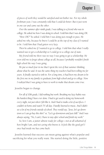# Chapter 1

*of pieces of work they would be satisfied and not bother me. For my whole freshman year, I was constantly told that I could do better. But it just went in one ear and came out the other.*

*Over the summer after ninth grade, I was talking to a friend who was in college. He asked me how I was doing in school. I told him that I was doing OK.*

*"How OK?" he asked. I told him I was doing just enough to pass. He asked me why, because he knew I could be at the top of my class if I wanted to be. I told him that I had gotten very lazy.*

*Then he asked me if I wanted to go to college. I told him that what I really wanted was to get a scholarship so I could go to a college out of state.*

*My friend told me there was no way I was going to get a scholarship. He even told me to forget about college at all, because I probably wouldn't finish high school the way I was going.* 

*He put so much fear in me that I spent the rest of that summer thinking about what he said. It was the same thing my teachers had been telling me for years. It finally started to sink in. For a long time, it had been my dream to be the first one in my family to graduate from high school and go to college. Now I realized that I was going to have to work to make that dream come true.*

#### Jesselin began to change.

*For all of 10th grade, I did nothing but work. Breaking my lazy habits was the hardest thing I have ever done. I had to get used to doing my homework every night, not just when I felt like it. And I had to make a lot of sacrifices. I*  couldn't sit home and watch TV all day. I hardly listened to music. And I didn't *see a lot of my friends outside of school. They would say, "Jesse, let's go downtown so I can go buy this shirt" or, "Let's go downtown and just chill." And I was always saying, "No, I can't, I have to stay after school and finish my work."*

*So, here I am, a junior almost ready for college—not at all ashamed of how bright I am, and not caring who knows it. It feels like the good girl I once had inside me has come back.*

Jesselin learned that success can mean going against what's popular and sacrificing for what you really want. She started doing the little, positive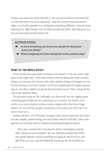things even when she didn't feel like it. She started to believe in herself and in what she knew was most important. And she started using that knowledge, even if other people were telling her something different. Instead of just knowing the right things to do, Jesselin actually did them. And she grew as a person and made herself a better life.

### Action Steps

- Is there something you know you should be doing that you're not doing?
- $\bullet$  What's stopping you from taking that small, positive step?

## **Point #3: The Ripple Effect**

You've heard the expressions "timing is everything" or "he was in the right place at the right time." What that means is that by doing the small, positive things, you increase the chances that other positive things will happen to you. It's like tossing a rock into a pond—you'll see a splash and the ripples spreading out, but those ripples can go far beyond what you see. They can go all the way to the opposite shore.

It's the same thing in life, although you often don't see the ripples until something good happens (or something not so good). For better or for worse, even your smallest actions create a ripple effect that has a huge impact on you and the people around you, even when you don't see it or aren't aware of it.

Jordan Schwartz, 14, of Marietta, Georgia, knows from experience that when you do a simple, positive thing, you never know where it will lead. A few years ago she was traveling with her family and passing through an airport.

*There was a woman there who had lost all her travel papers and she didn't speak one word of English. She was Spanish-speaking. My mother, who speaks Spanish, noticed something was going on and went over and offered her services. And she helped the woman get her forms filled out*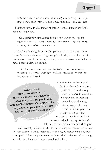*and on her way. It was all done in about a half-hour, with my mom stepping up to the plate, when it would have taken an hour with a translator.* 

That incident made a big impact on Jordan, because it made her think about helping others.

*Some people think that community is just your town or your city. It's bigger than that—a sense of community means a sense of right and wrong, a sense of what to do in certain situations.* 

Jordan kept thinking about what happened in the airport when she got home. At the time she was raising money for a local police canine unit. She just wanted to donate the money, but the police commissioner invited her to make a speech about her project.

*After it was over, the commissioner thanked me, said I did a great job, and said if I ever needed anything in the future to please let him know. So I took him up on his word.*

When you do small, positive things, it increases the chances that other positive things will happen to you. Your smallest actions affect you and the people around you, even when you don't see it or aren't aware of it.

Ever since her mother helped the Spanish-speaking woman, Jordan had been thinking about people's attitudes about bilingualism, or speaking more than one language. Some people in her community think it's great that people speak Spanish in this country, while others think Americans should only speak English.

Like her mother, Jordan speaks both English

and Spanish, and she decided to start a bilingual theater for children to teach tolerance and acceptance of everyone, no matter what language they speak. When the police commissioner asked if she needed anything, she told him about her idea and asked for his help.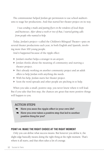The commissioner helped Jordan get permission to use school auditoriums to stage her productions. And that started her theater project on its way.

*I was sending e-mails and putting flyers in the windows of local shops and businesses. After about a week or two of that, I started getting calls from people who wanted to help.*

Today, Jordan's project—called the Children's Bilingual Theater—puts on several theater productions each year, in both English and Spanish, involving more than 100 young people.

And it happened because of the ripple effect:

- Jordan's mother helps a stranger in an airport.
- Jordan thinks about the meaning of community and starting a theater project.
- She's already working on another community project and an adult offers to help Jordan with anything she needs.
- With his help, Jordan starts her theater project.
- Soon the word spreads and other people are pitching in to help.

When you take a small, positive step, you never know where it will lead. But if you take that first step, the chances are great that more positive things will happen to you.

## Action Steps

- Have you seen the ripple effect in your own life?
- Have you ever taken a positive step that led to another positive thing for you?

### **Point #4: Make the Right Choice at the Right Moment**

Only you can define what success means. But however you define it, the slight edge basically means doing the right thing at the right moment. That's where it all starts, and that often takes a lot of courage.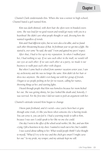Chantel Clark understands this. When she was a senior in high school, Chantel hated a girl named Kim.

*Kim was dark-skinned, with short hair she often wore in braided extensions. She was loud for no good reason and would get nasty with you in a heartbeat! She didn't care what people thought or said, dressing how she wanted regardless of trends.*

*Kim and I had different styles, but we were also a lot alike, and we found each other threatening because of that. In freshman year we got into a fight. She started it, over some "he-said, she-said." I won and gained my peers' respect.* 

*After that, I had to live up to my reputation. So when I walked past*  her, I had nothing to say. If we saw each other in the mall, we would roll *our eyes at each other. If we saw each other at a party, we made it our business to walk past each other with disgust.*

*But when I came back to school from summer vacation senior year, I saw my archenemy and she was no longer the same. Kim didn't do her hair or dress nice anymore. She didn't even hang out with her group of friends. I began to see people picking on her for no reason, calling her names, throwing things at her, and starting fights.*

*I heard through people that Kim was homeless because her mom kicked her out. She was getting skinny, her face looked like death and, honestly, I*  was worried. For the first time I did not want to pick an argument with her.

Chantel's attitude toward Kim began to change:

*I know pain firsthand, and it's weird—once you've been hurt or gone through some trials, it's like you know when someone else is hurting inside. You can sense it, you can feel it. I had a yearning inside to talk to Kim, because I was sure I could speak to her like no one else could.*

*One day I went to the office of the school social worker, Ms. Bee, and saw Kim crying. I felt a heaviness in my chest. I wanted to reach out to her, but I couldn't.*

*I was scared about talking to her. What would people think? I also thought*  to myself, "What if I try to be nice and this chick gets smart? I might curse *her out." So my pride, my temper, and my attitude kept me still.*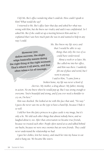*I left Ms. Bee's office wondering what I could do. How could I speak to Kim? What would she say?*

*I returned to Ms. Bee's office later that day and asked her what was wrong with Kim, but she knew our rivalry and said it was confidential. So I asked Ms. Bee if she could set up a meeting between Kim and me. I explained that I saw how much pain she was in and wanted to help in any way I could.*

However you define success, the slight edge basically means doing the right thing at the right moment. That's where it all starts, and that often takes a lot of courage.

*Ms. Bee knew my life story and that I would be able to say things that only the two of us could have understood.*

> *About a week or so later, Ms. Bee called me into her office, and Kim was there. I suddenly felt out of place and weird, but I went in anyway.*

*I said to Kim, "I came from a broken home, my life was never a bowl of* 

*cherries. My mother, a drug abuser. My father, missing* 

*in action. No one knew when he would pop up. But I was strong enough to overcome. You're beautiful and strong, and if you ever need a shoulder to cry on, I'm here."*

*Kim was shocked. She looked at me with this face that said, "No way."*  I guess she never saw me as the type to have a hard life, because I hide it *so well.* 

*I told her how this fairy princess in a glass castle is my image, but it's only a lie. We told each other things that almost nobody knew, and we laughed about it, too. After that conversation we became true friends, because we trusted each other. People often stared at us and talked behind our backs, because we were once enemies but are now friends. They could never understand the relationship we had.*

*I gave her clothes, lent her money, and snuck her into my house to eat and to hang out. We became like sisters.*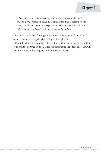# Chapter 1

*We realized we could both change and be our real selves. She didn't need*  to be loud to be respected. I found out that I didn't have to pretend all the time. I could be me without worrying about what anyone else would think. I *helped Kim to find herself again and in return I found me.*

Success is more than finding the right job someday or making a lot of money. It's about doing the right thing at the right time.

That takes faith and courage. Chantel had faith in knowing the right thing to do and the courage to do it. Once you start using the slight edge, you will have both faith and courage to make the right choices.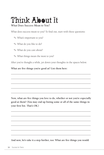# <span id="page-29-0"></span>Think About It

What Does Success Mean to You?

What does success mean to you? To find out, start with these questions:

- ✎ What's important to you?
- ✎ What do you like to do?
- ✎ What do you care about?
- ✎ What things mean the most to you?

After you've thought a while, jot down your thoughts in the spaces below.

\_\_\_\_\_\_\_\_\_\_\_\_\_\_\_\_\_\_\_\_\_\_\_\_\_\_\_\_\_\_\_\_\_\_\_\_\_\_\_\_\_\_\_\_\_\_\_\_\_\_\_\_\_\_\_\_\_\_\_\_\_\_ \_\_\_\_\_\_\_\_\_\_\_\_\_\_\_\_\_\_\_\_\_\_\_\_\_\_\_\_\_\_\_\_\_\_\_\_\_\_\_\_\_\_\_\_\_\_\_\_\_\_\_\_\_\_\_\_\_\_\_\_\_\_ \_\_\_\_\_\_\_\_\_\_\_\_\_\_\_\_\_\_\_\_\_\_\_\_\_\_\_\_\_\_\_\_\_\_\_\_\_\_\_\_\_\_\_\_\_\_\_\_\_\_\_\_\_\_\_\_\_\_\_\_\_\_ \_\_\_\_\_\_\_\_\_\_\_\_\_\_\_\_\_\_\_\_\_\_\_\_\_\_\_\_\_\_\_\_\_\_\_\_\_\_\_\_\_\_\_\_\_\_\_\_\_\_\_\_\_\_\_\_\_\_\_\_\_\_ \_\_\_\_\_\_\_\_\_\_\_\_\_\_\_\_\_\_\_\_\_\_\_\_\_\_\_\_\_\_\_\_\_\_\_\_\_\_\_\_\_\_\_\_\_\_\_\_\_\_\_\_\_\_\_\_\_\_\_\_\_\_

# **What are five things you're good at? List them here:**

**Now, what are five things you love to do, whether or not you're especially good at them? (You may end up listing some or all of the same things in your first list. That's OK.)**

\_\_\_\_\_\_\_\_\_\_\_\_\_\_\_\_\_\_\_\_\_\_\_\_\_\_\_\_\_\_\_\_\_\_\_\_\_\_\_\_\_\_\_\_\_\_\_\_\_\_\_\_\_\_\_\_\_\_\_\_\_\_ \_\_\_\_\_\_\_\_\_\_\_\_\_\_\_\_\_\_\_\_\_\_\_\_\_\_\_\_\_\_\_\_\_\_\_\_\_\_\_\_\_\_\_\_\_\_\_\_\_\_\_\_\_\_\_\_\_\_\_\_\_\_ \_\_\_\_\_\_\_\_\_\_\_\_\_\_\_\_\_\_\_\_\_\_\_\_\_\_\_\_\_\_\_\_\_\_\_\_\_\_\_\_\_\_\_\_\_\_\_\_\_\_\_\_\_\_\_\_\_\_\_\_\_\_ \_\_\_\_\_\_\_\_\_\_\_\_\_\_\_\_\_\_\_\_\_\_\_\_\_\_\_\_\_\_\_\_\_\_\_\_\_\_\_\_\_\_\_\_\_\_\_\_\_\_\_\_\_\_\_\_\_\_\_\_\_\_ \_\_\_\_\_\_\_\_\_\_\_\_\_\_\_\_\_\_\_\_\_\_\_\_\_\_\_\_\_\_\_\_\_\_\_\_\_\_\_\_\_\_\_\_\_\_\_\_\_\_\_\_\_\_\_\_\_\_\_\_\_\_ \_\_\_\_\_\_\_\_\_\_\_\_\_\_\_\_\_\_\_\_\_\_\_\_\_\_\_\_\_\_\_\_\_\_\_\_\_\_\_\_\_\_\_\_\_\_\_\_\_\_\_\_\_\_\_\_\_\_\_\_\_\_

**And now, let's take it a step further, too: What are five things you would**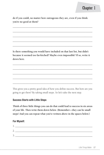# Chapter 1

**do if you could, no matter how outrageous they are, even if you think you're no good at them?**

\_\_\_\_\_\_\_\_\_\_\_\_\_\_\_\_\_\_\_\_\_\_\_\_\_\_\_\_\_\_\_\_\_\_\_\_\_\_\_\_\_\_\_\_\_\_\_\_\_\_\_\_\_\_\_\_\_\_\_\_\_\_ \_\_\_\_\_\_\_\_\_\_\_\_\_\_\_\_\_\_\_\_\_\_\_\_\_\_\_\_\_\_\_\_\_\_\_\_\_\_\_\_\_\_\_\_\_\_\_\_\_\_\_\_\_\_\_\_\_\_\_\_\_\_ \_\_\_\_\_\_\_\_\_\_\_\_\_\_\_\_\_\_\_\_\_\_\_\_\_\_\_\_\_\_\_\_\_\_\_\_\_\_\_\_\_\_\_\_\_\_\_\_\_\_\_\_\_\_\_\_\_\_\_\_\_\_ \_\_\_\_\_\_\_\_\_\_\_\_\_\_\_\_\_\_\_\_\_\_\_\_\_\_\_\_\_\_\_\_\_\_\_\_\_\_\_\_\_\_\_\_\_\_\_\_\_\_\_\_\_\_\_\_\_\_\_\_\_\_ \_\_\_\_\_\_\_\_\_\_\_\_\_\_\_\_\_\_\_\_\_\_\_\_\_\_\_\_\_\_\_\_\_\_\_\_\_\_\_\_\_\_\_\_\_\_\_\_\_\_\_\_\_\_\_\_\_\_\_\_\_\_

**Is there something you would have included on that last list, but didn't because it seemed too far-fetched? Maybe even impossible? If so, write it down here.**

\_\_\_\_\_\_\_\_\_\_\_\_\_\_\_\_\_\_\_\_\_\_\_\_\_\_\_\_\_\_\_\_\_\_\_\_\_\_\_\_\_\_\_\_\_\_\_\_\_\_\_\_\_\_\_\_\_\_\_\_\_\_ \_\_\_\_\_\_\_\_\_\_\_\_\_\_\_\_\_\_\_\_\_\_\_\_\_\_\_\_\_\_\_\_\_\_\_\_\_\_\_\_\_\_\_\_\_\_\_\_\_\_\_\_\_\_\_\_\_\_\_\_\_\_ \_\_\_\_\_\_\_\_\_\_\_\_\_\_\_\_\_\_\_\_\_\_\_\_\_\_\_\_\_\_\_\_\_\_\_\_\_\_\_\_\_\_\_\_\_\_\_\_\_\_\_\_\_\_\_\_\_\_\_\_\_\_ \_\_\_\_\_\_\_\_\_\_\_\_\_\_\_\_\_\_\_\_\_\_\_\_\_\_\_\_\_\_\_\_\_\_\_\_\_\_\_\_\_\_\_\_\_\_\_\_\_\_\_\_\_\_\_\_\_\_\_\_\_\_ \_\_\_\_\_\_\_\_\_\_\_\_\_\_\_\_\_\_\_\_\_\_\_\_\_\_\_\_\_\_\_\_\_\_\_\_\_\_\_\_\_\_\_\_\_\_\_\_\_\_\_\_\_\_\_\_\_\_\_\_\_\_

This gives you a pretty good idea of how you define success. But how are you going to get there? By taking small steps. So let's take the next step.

# **Success Starts with Little Steps**

**Think of three little things you can do that could lead to success in six areas of your life. Then write them down below. (Remember—they can be small steps! And you can repeat what you've written above in the spaces below.)**

# **For Myself:**

| <b>.</b> |  |  |  |
|----------|--|--|--|
| <u>.</u> |  |  |  |
| ┘        |  |  |  |